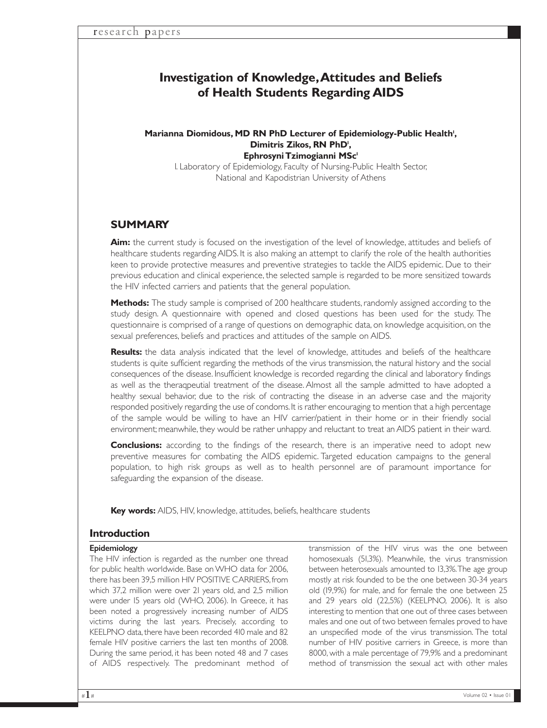# **Investigation of Knowledge,Attitudes and Beliefs of Health Students Regarding AIDS**

#### Marianna Diomidous, MD RN PhD Lecturer of Epidemiology-Public Health<sup>1</sup>, Dimitris Zikos, RN PhD<sup>1</sup>, **Ephrosyni Tzimogianni MSc1**

1. Laboratory of Epidemiology, Faculty of Nursing-Public Health Sector, National and Kapodistrian University of Athens

## **SUMMARY**

**Aim:** the current study is focused on the investigation of the level of knowledge, attitudes and beliefs of healthcare students regarding AIDS. It is also making an attempt to clarify the role of the health authorities keen to provide protective measures and preventive strategies to tackle the AIDS epidemic. Due to their previous education and clinical experience, the selected sample is regarded to be more sensitized towards the HIV infected carriers and patients that the general population.

**Methods:** The study sample is comprised of 200 healthcare students, randomly assigned according to the study design. A questionnaire with opened and closed questions has been used for the study. The questionnaire is comprised of a range of questions on demographic data, on knowledge acquisition, on the sexual preferences, beliefs and practices and attitudes of the sample on AIDS.

**Results:** the data analysis indicated that the level of knowledge, attitudes and beliefs of the healthcare students is quite sufficient regarding the methods of the virus transmission, the natural history and the social consequences of the disease. Insufficient knowledge is recorded regarding the clinical and laboratory findings as well as the theraqpeutial treatment of the disease. Almost all the sample admitted to have adopted a healthy sexual behavior, due to the risk of contracting the disease in an adverse case and the majority responded positively regarding the use of condoms.It is rather encouraging to mention that a high percentage of the sample would be willing to have an HIV carrier/patient in their home or in their friendly social environment; meanwhile, they would be rather unhappy and reluctant to treat an AIDS patient in their ward.

**Conclusions:** according to the findings of the research, there is an imperative need to adopt new preventive measures for combating the AIDS epidemic. Targeted education campaigns to the general population, to high risk groups as well as to health personnel are of paramount importance for safeguarding the expansion of the disease.

**Key words:** AIDS, HIV, knowledge, attitudes, beliefs, healthcare students

### **Introduction**

#### Epidemiology

The HIV infection is regarded as the number one thread for public health worldwide. Base on WHO data for 2006, there has been 39,5 million HIV POSITIVE CARRIERS,from which 37,2 million were over 21 years old, and 2,5 million were under 15 years old (WHO, 2006). In Greece, it has been noted a progressively increasing number of AIDS victims during the last years. Precisely, according to KEELPNO data, there have been recorded 410 male and 82 female HIV positive carriers the last ten months of 2008. During the same period, it has been noted 48 and 7 cases of AIDS respectively. The predominant method of

transmission of the HIV virus was the one between homosexuals (51,3%). Meanwhile, the virus transmission between heterosexuals amounted to 13,3%.The age group mostly at risk founded to be the one between 30-34 years old (19,9%) for male, and for female the one between 25 and 29 years old (22,5%) (KEELPNO, 2006). It is also interesting to mention that one out of three cases between males and one out of two between females proved to have an unspecified mode of the virus transmission. The total number of HIV positive carriers in Greece, is more than 8000, with a male percentage of 79,9% and a predominant method of transmission the sexual act with other males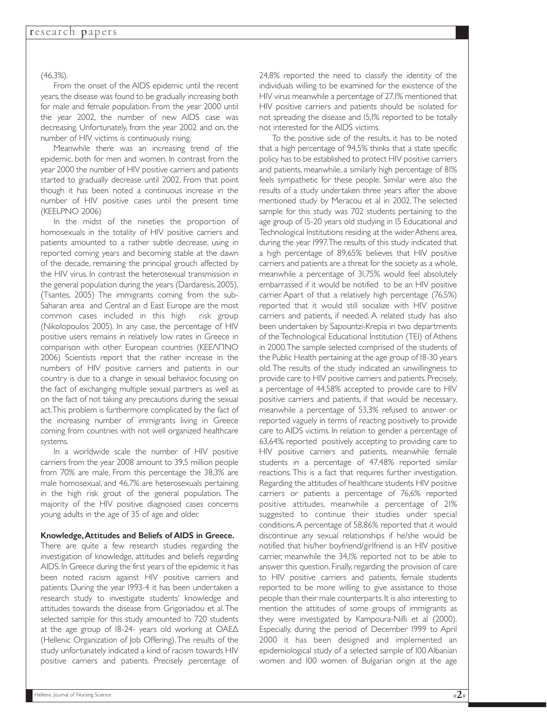#### (46,3%).

From the onset of the AIDS epidemic until the recent years, the disease was found to be gradually increasing both for male and female population. From the year 2000 until the year 2002, the number of new AIDS case was decreasing. Unfortunately, from the year 2002 and on, the number of HIV victims is continuously rising.

Meanwhile there was an increasing trend of the epidemic, both for men and women. In contrast from the year 2000 the number of HIV positive carriers and patients started to gradually decrease until 2002. From that point though it has been noted a continuous increase in the number of HIV positive cases until the present time (KEELPNO 2006)

In the midst of the nineties the proportion of homosexuals in the totality of ΗIV positive carriers and patients amounted to a rather subtle decrease, using in reported coming years and becoming stable at the dawn of the decade, remaining the principal grouch affected by the HIV virus. In contrast the heterosexual transmission in the general population during the years (Dardaresis, 2005), (Tsantes, 2005) The immigrants coming from the sub-Saharan area and Central an d East Europe are the most common cases included in this high risk group (Nikolopoulos 2005). In any case, the percentage of HIV positive users remains in relatively low rates in Greece in comparison with other European countries (KEEΛΠΝΟ 2006) Scientists report that the rather increase in the numbers of HIV positive carriers and patients in our country is due to a change in sexual behavior, focusing on the fact of exchanging multiple sexual partners as well as on the fact of not taking any precautions during the sexual act.This problem is furthermore complicated by the fact of the increasing number of immigrants living in Greece coming from countries with not well organized healthcare systems.

In a worldwide scale the number of HIV positive carriers from the year 2008 amount to 39,5 million people from 70% are male. From this percentage the 38,3% are male homosexual, and 46,7% are heterosexuals pertaining in the high risk grout of the general population. The majority of the HIV positive diagnosed cases concerns young adults in the age of 35 of age and older.

#### Knowledge,Attitudes and Beliefs of AIDS in Greece.

There are quite a few research studies regarding the investigation of knowledge, attitudes and beliefs regarding AIDS. In Greece during the first years of the epidemic it has been noted racism against HIV positive carriers and patients. During the year 1993-4 it has been undertaken a research study to investigate students' knowledge and attitudes towards the disease from Grigoriadou et al. The selected sample for this study amounted to 720 students at the age group of 18-24- years old working at ΟΑΕ∆ (Hellenic Organization of Job Offering).The results of the study unfortunately indicated a kind of racism towards HIV positive carriers and patients. Precisely percentage of 24,8% reported the need to classify the identity of the individuals willing to be examined for the existence of the HIV virus meanwhile a percentage of 27,1% mentioned that HIV positive carriers and patients should be isolated for not spreading the disease and 15,1% reported to be totally not interested for the AIDS victims.

To the positive side of the results, it has to be noted that a high percentage of 94,5% thinks that a state specific policy has to be established to protect HIV positive carriers and patients, meanwhile, a similarly high percentage of 81% feels sympathetic for these people. Similar were also the results of a study undertaken three years after the above mentioned study by Meracou et al in 2002. The selected sample for this study was 702 students pertaining to the age group of 15-20 years old studying in 15 Educational and Technological Institutions residing at the wider Athens area, during the year 1997.The results of this study indicated that a high percentage of 89,65% believes that HIV positive carriers and patients are a threat for the society as a whole, meanwhile a percentage of 31,75% would feel absolutely embarrassed if it would be notified to be an HIV positive carrier. Apart of that a relatively high percentage (76,5%) reported that it would still socialize with HIV positive carriers and patients, if needed. A related study has also been undertaken by Sapountzi-Krepia in two departments of the Technological Educational Institution (TEI) of Athens in 2000.The sample selected comprised of the students of the Public Health pertaining at the age group of 18-30 years old. The results of the study indicated an unwillingness to provide care to HIV positive carriers and patients. Precisely, a percentage of 44,58% accepted to provide care to HIV positive carriers and patients, if that would be necessary, meanwhile a percentage of 53,3% refused to answer or reported vaguely in terms of reacting positively to provide care to AIDS victims. In relation to gender a percentage of 63,64% reported positively accepting to providing care to HIV positive carriers and patients, meanwhile female students in a percentage of 47,48% reported similar reactions. This is a fact that requires further investigation. Regarding the attitudes of healthcare students HIV positive carriers or patients a percentage of 76,6% reported positive attitudes, meanwhile a percentage of 21% suggested to continue their studies under special conditions.A percentage of 58,86% reported that it would discontinue any sexual relationships if he/she would be notified that his/her boyfriend/girlfriend is an HIV positive carrier, meanwhile the 34,1% reported not to be able to answer this question. Finally, regarding the provision of care to HIV positive carriers and patients, female students reported to be more willing to give assistance to those people than their male counterparts. It is also interesting to mention the attitudes of some groups of immigrants as they were investigated by Kampoura-Nifli et al (2000). Especially, during the period of December 1999 to April 2000 it has been designed and implemented an epidemiological study of a selected sample of 100 Albanian women and 100 women of Bulgarian origin at the age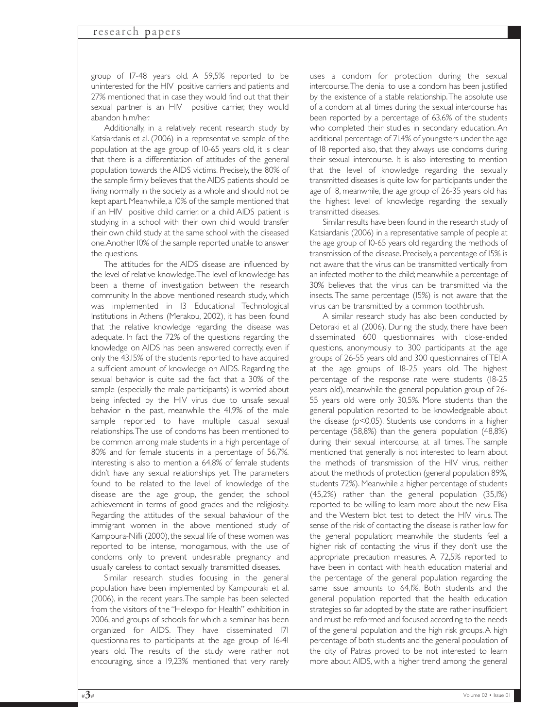group of 17-48 years old. A 59,5% reported to be uninterested for the HIV positive carriers and patients and 27% mentioned that in case they would find out that their sexual partner is an HIV positive carrier, they would abandon him/her.

Additionally, in a relatively recent research study by Katsiardanis et al. (2006) in a representative sample of the population at the age group of 10-65 years old, it is clear that there is a differentiation of attitudes of the general population towards the AIDS victims. Precisely, the 80% of the sample firmly believes that the AIDS patients should be living normally in the society as a whole and should not be kept apart. Meanwhile, a 10% of the sample mentioned that if an HIV positive child carrier, or a child AIDS patient is studying in a school with their own child would transfer their own child study at the same school with the diseased one.Another 10% of the sample reported unable to answer the questions.

The attitudes for the AIDS disease are influenced by the level of relative knowledge.The level of knowledge has been a theme of investigation between the research community. In the above mentioned research study, which was implemented in 13 Educational Technological Institutions in Athens (Merakou, 2002), it has been found that the relative knowledge regarding the disease was adequate. In fact the 72% of the questions regarding the knowledge on AIDS has been answered correctly, even if only the 43,15% of the students reported to have acquired a sufficient amount of knowledge on AIDS. Regarding the sexual behavior is quite sad the fact that a 30% of the sample (especially the male participants) is worried about being infected by the HIV virus due to unsafe sexual behavior in the past, meanwhile the 41,9% of the male sample reported to have multiple casual sexual relationships.The use of condoms has been mentioned to be common among male students in a high percentage of 80% and for female students in a percentage of 56,7%. Interesting is also to mention a 64,8% of female students didn't have any sexual relationships yet. The parameters found to be related to the level of knowledge of the disease are the age group, the gender, the school achievement in terms of good grades and the religiosity. Regarding the attitudes of the sexual bahaviour of the immigrant women in the above mentioned study of Kampoura-Nifli (2000), the sexual life of these women was reported to be intense, monogamous, with the use of condoms only to prevent undesirable pregnancy and usually careless to contact sexually transmitted diseases.

Similar research studies focusing in the general population have been implemented by Kampouraki et al. (2006), in the recent years.The sample has been selected from the visitors of the "Helexpo for Health" exhibition in 2006, and groups of schools for which a seminar has been organized for AIDS. They have disseminated 171 questionnaires to participants at the age group of 16-41 years old. The results of the study were rather not encouraging, since a 19,23% mentioned that very rarely

uses a condom for protection during the sexual intercourse.The denial to use a condom has been justified by the existence of a stable relationship.The absolute use of a condom at all times during the sexual intercourse has been reported by a percentage of 63,6% of the students who completed their studies in secondary education. An additional percentage of 71,4% of youngsters under the age of 18 reported also, that they always use condoms during their sexual intercourse. It is also interesting to mention that the level of knowledge regarding the sexually transmitted diseases is quite low for participants under the age of 18, meanwhile, the age group of 26-35 years old has the highest level of knowledge regarding the sexually transmitted diseases.

Similar results have been found in the research study of Katsiardanis (2006) in a representative sample of people at the age group of 10-65 years old regarding the methods of transmission of the disease. Precisely, a percentage of 15% is not aware that the virus can be transmitted vertically from an infected mother to the child; meanwhile a percentage of 30% believes that the virus can be transmitted via the insects.The same percentage (15%) is not aware that the virus can be transmitted by a common toothbrush.

A similar research study has also been conducted by Detoraki et al (2006). During the study, there have been disseminated 600 questionnaires with close-ended questions, anonymously to 300 participants at the age groups of 26-55 years old and 300 questionnaires of TEI A at the age groups of 18-25 years old. The highest percentage of the response rate were students (18-25 years old), meanwhile the general population group of 26- 55 years old were only 30,5%. More students than the general population reported to be knowledgeable about the disease (p<0,05). Students use condoms in a higher percentage (58,8%) than the general population (48,8%) during their sexual intercourse, at all times. The sample mentioned that generally is not interested to learn about the methods of transmission of the HIV virus, neither about the methods of protection (general population 89%, students 72%). Meanwhile a higher percentage of students (45,2%) rather than the general population (35,1%) reported to be willing to learn more about the new Elisa and the Western blot test to detect the HIV virus. The sense of the risk of contacting the disease is rather low for the general population; meanwhile the students feel a higher risk of contacting the virus if they don't use the appropriate precaution measures. A 72,5% reported to have been in contact with health education material and the percentage of the general population regarding the same issue amounts to 64,1%. Both students and the general population reported that the health education strategies so far adopted by the state are rather insufficient and must be reformed and focused according to the needs of the general population and the high risk groups.A high percentage of both students and the general population of the city of Patras proved to be not interested to learn more about AIDS, with a higher trend among the general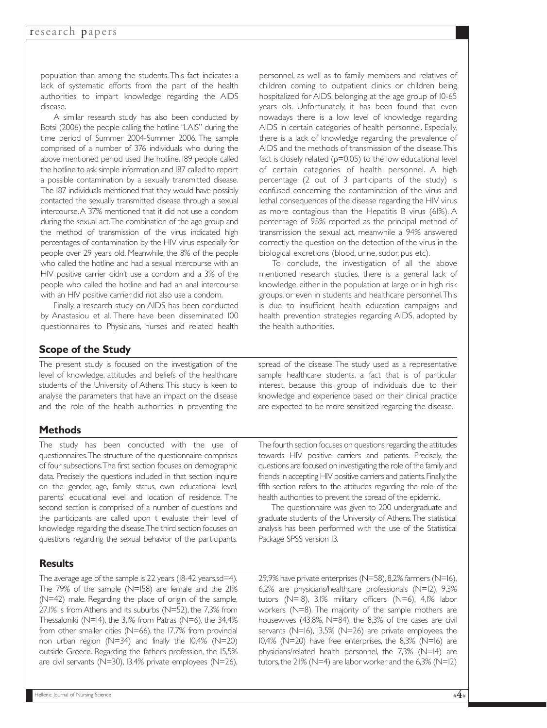population than among the students. This fact indicates a lack of systematic efforts from the part of the health authorities to impart knowledge regarding the AIDS disease.

A similar research study has also been conducted by Botsi (2006) the people calling the hotline "LAIS" during the time period of Summer 2004-Summer 2006. The sample comprised of a number of 376 individuals who during the above mentioned period used the hotline. 189 people called the hotline to ask simple information and 187 called to report a possible contamination by a sexually transmitted disease. The 187 individuals mentioned that they would have possibly contacted the sexually transmitted disease through a sexual intercourse.A 37% mentioned that it did not use a condom during the sexual act.The combination of the age group and the method of transmission of the virus indicated high percentages of contamination by the HIV virus especially for people over 29 years old. Meanwhile, the 8% of the people who called the hotline and had a sexual intercourse with an HIV positive carrier didn't use a condom and a 3% of the people who called the hotline and had an anal intercourse with an HIV positive carrier, did not also use a condom.

Finally, a research study on AIDS has been conducted by Anastasiou et al. There have been disseminated 100 questionnaires to Physicians, nurses and related health personnel, as well as to family members and relatives of children coming to outpatient clinics or children being hospitalized for AIDS, belonging at the age group of 10-65 years ols. Unfortunately, it has been found that even nowadays there is a low level of knowledge regarding AIDS in certain categories of health personnel. Especially, there is a lack of knowledge regarding the prevalence of AIDS and the methods of transmission of the disease.This fact is closely related ( $p=0,05$ ) to the low educational level of certain categories of health personnel. A high percentage (2 out of 3 participants of the study) is confused concerning the contamination of the virus and lethal consequences of the disease regarding the HIV virus as more contagious than the Hepatitis B virus (61%). A percentage of 95% reported as the principal method of transmission the sexual act, meanwhile a 94% answered correctly the question on the detection of the virus in the biological excretions (blood, urine, sudor, pus etc).

To conclude, the investigation of all the above mentioned research studies, there is a general lack of knowledge, either in the population at large or in high risk groups, or even in students and healthcare personnel.This is due to insufficient health education campaigns and health prevention strategies regarding AIDS, adopted by the health authorities.

# **Scope of the Study**

The present study is focused on the investigation of the level of knowledge, attitudes and beliefs of the healthcare students of the University of Athens.This study is keen to analyse the parameters that have an impact on the disease and the role of the health authorities in preventing the

# **Methods**

The study has been conducted with the use of questionnaires.The structure of the questionnaire comprises of four subsections.The first section focuses on demographic data. Precisely the questions included in that section inquire on the gender, age, family status, own educational level, parents' educational level and location of residence. The second section is comprised of a number of questions and the participants are called upon t evaluate their level of knowledge regarding the disease.The third section focuses on questions regarding the sexual behavior of the participants.

# **Results**

The average age of the sample is 22 years (18-42 years, sd=4). The 79% of the sample (N=158) are female and the 21% (N=42) male. Regarding the place of origin of the sample, 27,1% is from Athens and its suburbs (N=52), the 7,3% from Thessaloniki (N=14), the 3,1% from Patras (N=6), the 34,4% from other smaller cities (N=66), the 17,7% from provincial non urban region (N=34) and finally the 10,4% (N=20) outside Greece. Regarding the father's profession, the 15,5% are civil servants (N=30), 13,4% private employees (N=26), spread of the disease. The study used as a representative sample healthcare students, a fact that is of particular interest, because this group of individuals due to their knowledge and experience based on their clinical practice are expected to be more sensitized regarding the disease.

The fourth section focuses on questions regarding the attitudes towards HIV positive carriers and patients. Precisely, the questions are focused on investigating the role of the family and friends in accepting HIV positive carriers and patients. Finally, the fifth section refers to the attitudes regarding the role of the health authorities to prevent the spread of the epidemic.

The questionnaire was given to 200 undergraduate and graduate students of the University of Athens.The statistical analysis has been performed with the use of the Statistical Package SPSS version 13.

29,9% have private enterprises (N=58),8,2% farmers (N=16), 6,2% are physicians/healthcare professionals (N=12), 9,3% tutors (N=18), 3,1% military officers (N=6), 4,1% labor workers (N=8). The majority of the sample mothers are housewives (43,8%, N=84), the 8,3% of the cases are civil servants (N=16), 13,5% (N=26) are private employees, the  $10,4\%$  (N=20) have free enterprises, the 8,3% (N=16) are physicians/related health personnel, the 7,3% (N=14) are tutors, the  $2,1\%$  (N=4) are labor worker and the 6,3% (N=12)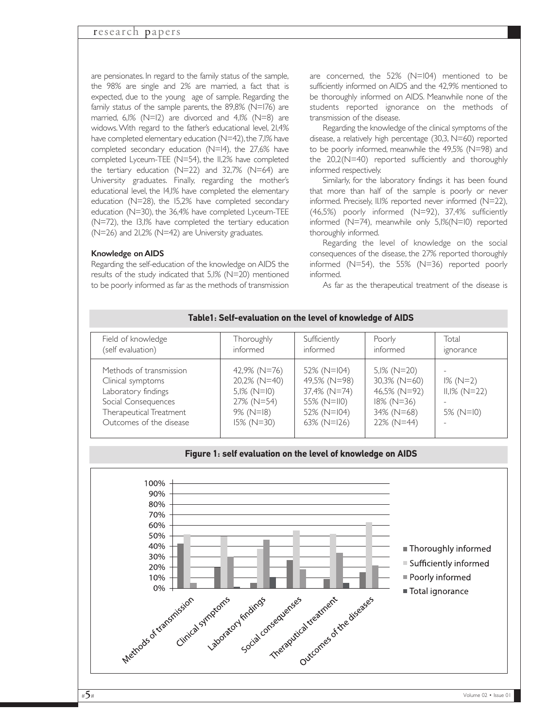are pensionates. In regard to the family status of the sample, the 98% are single and 2% are married, a fact that is expected, due to the young age of sample. Regarding the family status of the sample parents, the 89,8% (N=176) are married, 6,1% (N=12) are divorced and 4,1% (N=8) are widows.With regard to the father's educational level, 21,4% have completed elementary education (N=42), the 7,1% have completed secondary education (N=14), the 27,6% have completed Lyceum-TEE (N=54), the 11,2% have completed the tertiary education (N=22) and 32,7% (N=64) are University graduates. Finally, regarding the mother's educational level, the 14,1% have completed the elementary education (N=28), the 15,2% have completed secondary education (N=30), the 36,4% have completed Lyceum-TEE (N=72), the 13,1% have completed the tertiary education (N=26) and 21,2% (N=42) are University graduates.

#### Knowledge on AIDS

Regarding the self-education of the knowledge on AIDS the results of the study indicated that 5,1% (N=20) mentioned to be poorly informed as far as the methods of transmission are concerned, the 52% (N=104) mentioned to be sufficiently informed on AIDS and the 42,9% mentioned to be thoroughly informed on AIDS. Meanwhile none of the students reported ignorance on the methods of transmission of the disease.

Regarding the knowledge of the clinical symptoms of the disease, a relatively high percentage (30,3, N=60) reported to be poorly informed, meanwhile the 49,5% (N=98) and the  $20,2(N=40)$  reported sufficiently and thoroughly informed respectively.

Similarly, for the laboratory findings it has been found that more than half of the sample is poorly or never informed. Precisely, 11.1% reported never informed (N=22), (46,5%) poorly informed (N=92), 37,4% sufficiently informed (N=74), meanwhile only 5,1%(N=10) reported thoroughly informed.

Regarding the level of knowledge on the social consequences of the disease, the 27% reported thoroughly informed (N=54), the 55% (N=36) reported poorly informed.

As far as the therapeutical treatment of the disease is

#### Field of knowledge (self evaluation) Methods of transmission Clinical symptoms Laboratory findings Social Consequences Therapeutical Treatment Outcomes of the disease **Thoroughly** informed 42,9% (Ν=76) 20,2% (Ν=40) 5,1% (Ν=10) 27% (Ν=54) 9% (Ν=18) 15% (Ν=30) Total ignorance - 1% (Ν=2) 11,1% (Ν=22) - 5% (Ν=10) - Poorly informed 5,1% (Ν=20) 30,3% (Ν=60) 46,5% (Ν=92) 18% (Ν=36) 34% (Ν=68) 22% (Ν=44) Sufficiently informed 52% (Ν=104) 49,5% (Ν=98) 37,4% (Ν=74) 55% (Ν=110) 52% (Ν=104) 63% (Ν=126)

### **Table1: Self-evaluation on the level of knowledge of AIDS**

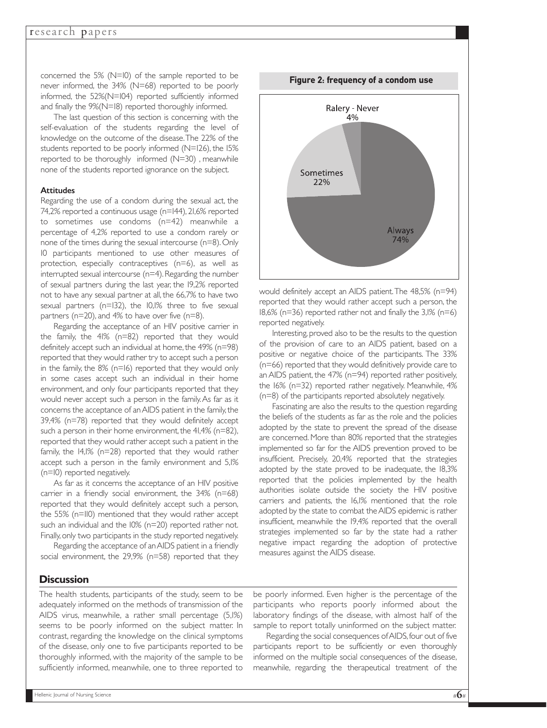concerned the 5% (N=10) of the sample reported to be never informed, the 34% (N=68) reported to be poorly informed, the 52%(N=104) reported sufficiently informed and finally the 9%(N=18) reported thoroughly informed.

The last question of this section is concerning with the self-evaluation of the students regarding the level of knowledge on the outcome of the disease.The 22% of the students reported to be poorly informed (N=126), the 15% reported to be thoroughly informed (N=30) , meanwhile none of the students reported ignorance on the subject.

#### **Attitudes**

Regarding the use of a condom during the sexual act, the 74,2% reported a continuous usage (n=144), 21,6% reported to sometimes use condoms (n=42) meanwhile a percentage of 4,2% reported to use a condom rarely or none of the times during the sexual intercourse (n=8). Only 10 participants mentioned to use other measures of protection, especially contraceptives (n=6), as well as interrupted sexual intercourse (n=4). Regarding the number of sexual partners during the last year, the 19,2% reported not to have any sexual partner at all, the 66,7% to have two sexual partners (n=132), the 10,1% three to five sexual partners (n=20), and 4% to have over five (n=8).

Regarding the acceptance of an HIV positive carrier in the family, the 41% (n=82) reported that they would definitely accept such an individual at home, the  $49\%$  (n=98) reported that they would rather try to accept such a person in the family, the 8% (n=16) reported that they would only in some cases accept such an individual in their home environment, and only four participants reported that they would never accept such a person in the family.As far as it concerns the acceptance of an AIDS patient in the family,the 39,4% (n=78) reported that they would definitely accept such a person in their home environment, the  $41,4\%$  (n=82), reported that they would rather accept such a patient in the family, the 14,1% (n=28) reported that they would rather accept such a person in the family environment and 5,1% (n=10) reported negatively.

As far as it concerns the acceptance of an HIV positive carrier in a friendly social environment, the 34% (n=68) reported that they would definitely accept such a person, the 55% (n=110) mentioned that they would rather accept such an individual and the 10% (n=20) reported rather not. Finally, only two participants in the study reported negatively.

Regarding the acceptance of an AIDS patient in a friendly social environment, the 29,9% (n=58) reported that they

# **Figure 2: frequency of a condom use** Ralery - Never  $4%$ Sometimes 22% **Always** 74%

would definitely accept an AIDS patient.The 48,5% (n=94) reported that they would rather accept such a person, the 18,6% (n=36) reported rather not and finally the 3,1% (n=6) reported negatively.

Interesting, proved also to be the results to the question of the provision of care to an AIDS patient, based on a positive or negative choice of the participants. The 33% (n=66) reported that they would definitively provide care to an AIDS patient, the 47% (n=94) reported rather positively, the 16% (n=32) reported rather negatively. Meanwhile, 4% (n=8) of the participants reported absolutely negatively.

Fascinating are also the results to the question regarding the beliefs of the students as far as the role and the policies adopted by the state to prevent the spread of the disease are concerned. More than 80% reported that the strategies implemented so far for the AIDS prevention proved to be insufficient. Precisely, 20,4% reported that the strategies adopted by the state proved to be inadequate, the 18,3% reported that the policies implemented by the health authorities isolate outside the society the HIV positive carriers and patients, the 16,1% mentioned that the role adopted by the state to combat the AIDS epidemic is rather insufficient, meanwhile the 19,4% reported that the overall strategies implemented so far by the state had a rather negative impact regarding the adoption of protective measures against the AIDS disease.

#### **Discussion**

The health students, participants of the study, seem to be adequately informed on the methods of transmission of the AIDS virus, meanwhile, a rather small percentage (5,1%) seems to be poorly informed on the subject matter. In contrast, regarding the knowledge on the clinical symptoms of the disease, only one to five participants reported to be thoroughly informed, with the majority of the sample to be sufficiently informed, meanwhile, one to three reported to

be poorly informed. Even higher is the percentage of the participants who reports poorly informed about the laboratory findings of the disease, with almost half of the sample to report totally uninformed on the subject matter.

Regarding the social consequences of AIDS,four out of five participants report to be sufficiently or even thoroughly informed on the multiple social consequences of the disease, meanwhile, regarding the therapeutical treatment of the